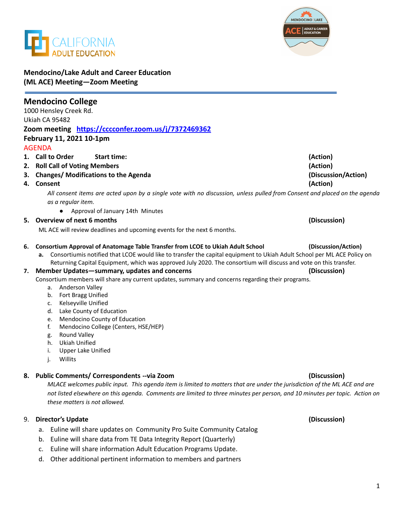



## **Mendocino/Lake Adult and Career Education (ML ACE) Meeting—Zoom Meeting**

| <b>Mendocino College</b><br>1000 Hensley Creek Rd.  |                                                                                                                                                                                                                                                                                                                                                                                                                                                                                                                                                                                                                                                                                                                                                                                                             |                                     |
|-----------------------------------------------------|-------------------------------------------------------------------------------------------------------------------------------------------------------------------------------------------------------------------------------------------------------------------------------------------------------------------------------------------------------------------------------------------------------------------------------------------------------------------------------------------------------------------------------------------------------------------------------------------------------------------------------------------------------------------------------------------------------------------------------------------------------------------------------------------------------------|-------------------------------------|
| Ukiah CA 95482                                      |                                                                                                                                                                                                                                                                                                                                                                                                                                                                                                                                                                                                                                                                                                                                                                                                             |                                     |
| Zoom meeting https://cccconfer.zoom.us/j/7372469362 |                                                                                                                                                                                                                                                                                                                                                                                                                                                                                                                                                                                                                                                                                                                                                                                                             |                                     |
| February 11, 2021 10-1pm                            |                                                                                                                                                                                                                                                                                                                                                                                                                                                                                                                                                                                                                                                                                                                                                                                                             |                                     |
|                                                     | <b>AGENDA</b>                                                                                                                                                                                                                                                                                                                                                                                                                                                                                                                                                                                                                                                                                                                                                                                               |                                     |
|                                                     | 1. Call to Order<br><b>Start time:</b>                                                                                                                                                                                                                                                                                                                                                                                                                                                                                                                                                                                                                                                                                                                                                                      | (Action)                            |
|                                                     | 2. Roll Call of Voting Members                                                                                                                                                                                                                                                                                                                                                                                                                                                                                                                                                                                                                                                                                                                                                                              | (Action)                            |
|                                                     | 3. Changes/ Modifications to the Agenda                                                                                                                                                                                                                                                                                                                                                                                                                                                                                                                                                                                                                                                                                                                                                                     | (Discussion/Action)                 |
|                                                     | 4. Consent                                                                                                                                                                                                                                                                                                                                                                                                                                                                                                                                                                                                                                                                                                                                                                                                  | (Action)                            |
|                                                     | All consent items are acted upon by a single vote with no discussion, unless pulled from Consent and placed on the agenda                                                                                                                                                                                                                                                                                                                                                                                                                                                                                                                                                                                                                                                                                   |                                     |
|                                                     | as a regular item.                                                                                                                                                                                                                                                                                                                                                                                                                                                                                                                                                                                                                                                                                                                                                                                          |                                     |
|                                                     | Approval of January 14th Minutes                                                                                                                                                                                                                                                                                                                                                                                                                                                                                                                                                                                                                                                                                                                                                                            |                                     |
|                                                     | 5. Overview of next 6 months                                                                                                                                                                                                                                                                                                                                                                                                                                                                                                                                                                                                                                                                                                                                                                                | (Discussion)                        |
|                                                     | ML ACE will review deadlines and upcoming events for the next 6 months.                                                                                                                                                                                                                                                                                                                                                                                                                                                                                                                                                                                                                                                                                                                                     |                                     |
| 6.<br>7.                                            | Consortium Approval of Anatomage Table Transfer from LCOE to Ukiah Adult School<br>Consortiumis notified that LCOE would like to transfer the capital equipment to Ukiah Adult School per ML ACE Policy on<br>а.<br>Returning Capital Equipment, which was approved July 2020. The consortium will discuss and vote on this transfer.<br>Member Updates-summary, updates and concerns<br>Consortium members will share any current updates, summary and concerns regarding their programs.<br>Anderson Valley<br>а.<br>Fort Bragg Unified<br>b.<br>Kelseyville Unified<br>c.<br>Lake County of Education<br>d.<br>Mendocino County of Education<br>e.<br>Mendocino College (Centers, HSE/HEP)<br>f.<br>Round Valley<br>g.<br><b>Ukiah Unified</b><br>h.<br><b>Upper Lake Unified</b><br>i.<br>j.<br>Willits | (Discussion/Action)<br>(Discussion) |
|                                                     | 8. Public Comments/ Correspondents -- via Zoom<br>MLACE welcomes public input. This agenda item is limited to matters that are under the jurisdiction of the MLACE and are<br>not listed elsewhere on this agenda. Comments are limited to three minutes per person, and 10 minutes per topic. Action on<br>these matters is not allowed.                                                                                                                                                                                                                                                                                                                                                                                                                                                                   | (Discussion)                        |

## 9. **Director's Update (Discussion)**

- a. Euline will share updates on Community Pro Suite Community Catalog
- b. Euline will share data from TE Data Integrity Report (Quarterly)
- c. Euline will share information Adult Education Programs Update.
- d. Other additional pertinent information to members and partners

# 1